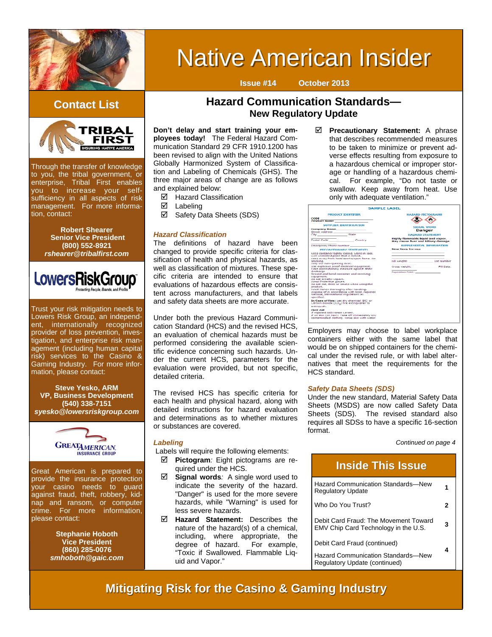

# **Native American Insider**

### **Contact List Contact List**



Through the transfer of knowledge to you, the tribal government, or enterprise, Tribal First enables you to increase your selfsufficiency in all aspects of risk management. For more information, contact:

> **Robert Shearer Senior Vice President (800) 552-8921**  *rshearer@tribalfirst.com*



Trust your risk mitigation needs to Lowers Risk Group, an independent, internationally recognized provider of loss prevention, investigation, and enterprise risk management (including human capital risk) services to the Casino & Gaming Industry. For more information, please contact:

**Steve Yesko, ARM VP, Business Development (540) 338-7151**  *syesko@lowersriskgroup.com* 



Great American is prepared to provide the insurance protection your casino needs to guard against fraud, theft, robbery, kidnap and ransom, or computer crime. For more information, please contact:

> **Stephanie Hoboth Vice President (860) 285-0076**  *smhoboth@gaic.com*

### **Hazard Communication Standards— New Regulatory Update**

**Issue #14 October 2013**

**Don't delay and start training your employees today!** The Federal Hazard Communication Standard 29 CFR 1910.1200 has been revised to align with the United Nations Globally Harmonized System of Classification and Labeling of Chemicals (GHS). The three major areas of change are as follows and explained below:

 $\boxtimes$  Hazard Classification

 $\boxtimes$  Labeling

 $\boxtimes$  Safety Data Sheets (SDS)

### *Hazard Classification*

The definitions of hazard have been changed to provide specific criteria for classification of health and physical hazards, as well as classification of mixtures. These specific criteria are intended to ensure that evaluations of hazardous effects are consistent across manufacturers, and that labels and safety data sheets are more accurate.

Under both the previous Hazard Communication Standard (HCS) and the revised HCS, an evaluation of chemical hazards must be performed considering the available scientific evidence concerning such hazards. Under the current HCS, parameters for the evaluation were provided, but not specific, detailed criteria.

The revised HCS has specific criteria for each health and physical hazard, along with detailed instructions for hazard evaluation and determinations as to whether mixtures or substances are covered.

### *Labeling*

Labels will require the following elements:

- **Pictogram***:* Eight pictograms are required under the HCS.
- **Signal words***:* A single word used to indicate the severity of the hazard. "Danger" is used for the more severe hazards, while "Warning" is used for less severe hazards.
- **Hazard Statement:** Describes the nature of the hazard(s) of a chemical, including, where appropriate, the degree of hazard. For example, degree of hazard. "Toxic if Swallowed. Flammable Liquid and Vapor."

 $\boxtimes$  Precautionary Statement: A phrase that describes recommended measures to be taken to minimize or prevent adverse effects resulting from exposure to a hazardous chemical or improper storage or handling of a hazardous chemical. For example, "Do not taste or swallow. Keep away from heat. Use only with adequate ventilation."

|                                                                                                                                                                                                                                                                                                                                                                                                                                                                                                                                                                       | <b>SAMPLE LABEL</b>                                                                           |                          |  |
|-----------------------------------------------------------------------------------------------------------------------------------------------------------------------------------------------------------------------------------------------------------------------------------------------------------------------------------------------------------------------------------------------------------------------------------------------------------------------------------------------------------------------------------------------------------------------|-----------------------------------------------------------------------------------------------|--------------------------|--|
| <b>PRODUCT IDENTIFIER</b><br>CODE                                                                                                                                                                                                                                                                                                                                                                                                                                                                                                                                     |                                                                                               | <b>HAZARD PICTOGRAMS</b> |  |
| <b>SUPPLIER IDENTIFICATION</b><br>Company Name and the company of the company<br>Postal Code Country                                                                                                                                                                                                                                                                                                                                                                                                                                                                  | <b>SIGNAL WORD</b><br>Danger<br><b>HAZARD STATEMENT</b><br>Highly flammable liquid and vapor. |                          |  |
| Emergency Phone Number <b>Emergency</b><br>PRECAUTIONARY STATEMENTS<br>seep container tightly closed, Store in cool.<br>well ventilated place that in ladied.                                                                                                                                                                                                                                                                                                                                                                                                         | May cause fiver and kkiney damage.<br>Direct Done for use                                     | SUPPLEMENTAL BIFORMATION |  |
| Keep away from beat/sparks/open flame, No.<br>smoking.<br>Only use non-sparking tools.<br>use explosion proof electrical equipment.<br>Take precautionary measure against static<br>discharge.<br>Ground and band container and receiving<br>coupment.<br>De not broathe vasers.<br>Wear Protective gloves.<br>Do not eat, drink or smoke when using this<br>product.<br>Wash hands thoroughly efter handling.<br>Discope of in accordance with local, regional,<br>national, international regulations as<br>specified.<br>In Case of Fire: use dry chemical (BC) or | Fill weight: [10] Lot Number<br>Gross weight: Committee<br>Expiration Date: 1980 Contractor   | <b>Fill Dalu:</b>        |  |
| carbon dioidde (COL) fire extinguisher to<br>extinguish.<br><b>Flest Aid</b><br>if exposed call inpoon uenter.<br>2 on akin (on hair); Take off immediately any<br>contaminated clothing. Ringe skin with water.                                                                                                                                                                                                                                                                                                                                                      |                                                                                               |                          |  |

Employers may choose to label workplace containers either with the same label that would be on shipped containers for the chemical under the revised rule, or with label alternatives that meet the requirements for the HCS standard.

### *Safety Data Sheets (SDS)*

Under the new standard, Material Safety Data Sheets (MSDS) are now called Safety Data Sheets (SDS). The revised standard also requires all SDSs to have a specific 16-section format.

*Continued on page 4* 

| <b>Inside This Issue</b>                                                      |   |  |
|-------------------------------------------------------------------------------|---|--|
| <b>Hazard Communication Standards-New</b><br><b>Regulatory Update</b>         |   |  |
| Who Do You Trust?                                                             |   |  |
| Debit Card Fraud: The Movement Toward<br>EMV Chip Card Technology in the U.S. | 3 |  |
| Debit Card Fraud (continued)                                                  |   |  |
| <b>Hazard Communication Standards-New</b><br>Regulatory Update (continued)    |   |  |

### **Mitigating Risk for the Casino & Gaming Industry**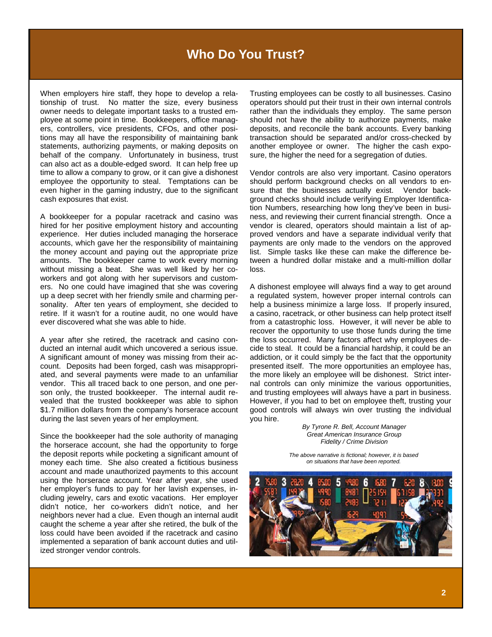### **Who Do You Trust?**

When employers hire staff, they hope to develop a relationship of trust. No matter the size, every business owner needs to delegate important tasks to a trusted employee at some point in time. Bookkeepers, office managers, controllers, vice presidents, CFOs, and other positions may all have the responsibility of maintaining bank statements, authorizing payments, or making deposits on behalf of the company. Unfortunately in business, trust can also act as a double-edged sword. It can help free up time to allow a company to grow, or it can give a dishonest employee the opportunity to steal. Temptations can be even higher in the gaming industry, due to the significant cash exposures that exist.

A bookkeeper for a popular racetrack and casino was hired for her positive employment history and accounting experience. Her duties included managing the horserace accounts, which gave her the responsibility of maintaining the money account and paying out the appropriate prize amounts. The bookkeeper came to work every morning without missing a beat. She was well liked by her coworkers and got along with her supervisors and customers. No one could have imagined that she was covering up a deep secret with her friendly smile and charming personality. After ten years of employment, she decided to retire. If it wasn't for a routine audit, no one would have ever discovered what she was able to hide.

A year after she retired, the racetrack and casino conducted an internal audit which uncovered a serious issue. A significant amount of money was missing from their account. Deposits had been forged, cash was misappropriated, and several payments were made to an unfamiliar vendor. This all traced back to one person, and one person only, the trusted bookkeeper. The internal audit revealed that the trusted bookkeeper was able to siphon \$1.7 million dollars from the company's horserace account during the last seven years of her employment.

Since the bookkeeper had the sole authority of managing the horserace account, she had the opportunity to forge the deposit reports while pocketing a significant amount of money each time. She also created a fictitious business account and made unauthorized payments to this account using the horserace account. Year after year, she used her employer's funds to pay for her lavish expenses, including jewelry, cars and exotic vacations. Her employer didn't notice, her co-workers didn't notice, and her neighbors never had a clue. Even though an internal audit caught the scheme a year after she retired, the bulk of the loss could have been avoided if the racetrack and casino implemented a separation of bank account duties and utilized stronger vendor controls.

Trusting employees can be costly to all businesses. Casino operators should put their trust in their own internal controls rather than the individuals they employ. The same person should not have the ability to authorize payments, make deposits, and reconcile the bank accounts. Every banking transaction should be separated and/or cross-checked by another employee or owner. The higher the cash exposure, the higher the need for a segregation of duties.

Vendor controls are also very important. Casino operators should perform background checks on all vendors to ensure that the businesses actually exist. Vendor background checks should include verifying Employer Identification Numbers, researching how long they've been in business, and reviewing their current financial strength. Once a vendor is cleared, operators should maintain a list of approved vendors and have a separate individual verify that payments are only made to the vendors on the approved list. Simple tasks like these can make the difference between a hundred dollar mistake and a multi-million dollar loss.

A dishonest employee will always find a way to get around a regulated system, however proper internal controls can help a business minimize a large loss. If properly insured, a casino, racetrack, or other business can help protect itself from a catastrophic loss. However, it will never be able to recover the opportunity to use those funds during the time the loss occurred. Many factors affect why employees decide to steal. It could be a financial hardship, it could be an addiction, or it could simply be the fact that the opportunity presented itself. The more opportunities an employee has, the more likely an employee will be dishonest. Strict internal controls can only minimize the various opportunities, and trusting employees will always have a part in business. However, if you had to bet on employee theft, trusting your good controls will always win over trusting the individual you hire.

> *By Tyrone R. Bell, Account Manager Great American Insurance Group Fidelity / Crime Division*

*The above narrative is fictional; however, it is based on situations that have been reported.* 

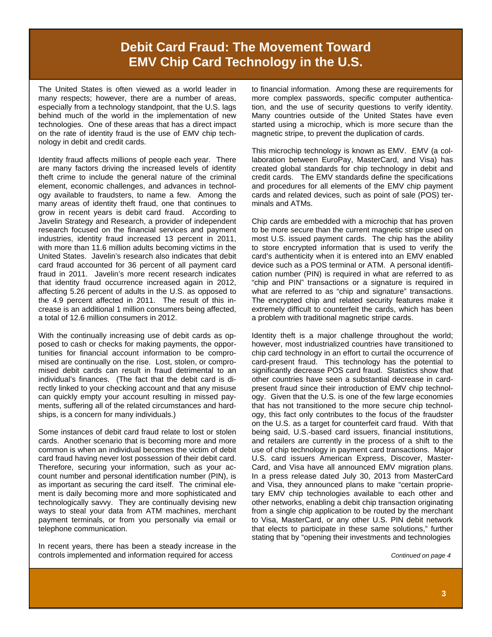# **Debit Card Fraud: The Movement Toward EMV Chip Card Technology in the U.S.**

The United States is often viewed as a world leader in many respects; however, there are a number of areas, especially from a technology standpoint, that the U.S. lags behind much of the world in the implementation of new technologies. One of these areas that has a direct impact on the rate of identity fraud is the use of EMV chip technology in debit and credit cards.

Identity fraud affects millions of people each year. There are many factors driving the increased levels of identity theft crime to include the general nature of the criminal element, economic challenges, and advances in technology available to fraudsters, to name a few. Among the many areas of identity theft fraud, one that continues to grow in recent years is debit card fraud. According to Javelin Strategy and Research, a provider of independent research focused on the financial services and payment industries, identity fraud increased 13 percent in 2011, with more than 11.6 million adults becoming victims in the United States. Javelin's research also indicates that debit card fraud accounted for 36 percent of all payment card fraud in 2011. Javelin's more recent research indicates that identity fraud occurrence increased again in 2012, affecting 5.26 percent of adults in the U.S. as opposed to the 4.9 percent affected in 2011. The result of this increase is an additional 1 million consumers being affected, a total of 12.6 million consumers in 2012.

With the continually increasing use of debit cards as opposed to cash or checks for making payments, the opportunities for financial account information to be compromised are continually on the rise. Lost, stolen, or compromised debit cards can result in fraud detrimental to an individual's finances. (The fact that the debit card is directly linked to your checking account and that any misuse can quickly empty your account resulting in missed payments, suffering all of the related circumstances and hardships, is a concern for many individuals.)

Some instances of debit card fraud relate to lost or stolen cards. Another scenario that is becoming more and more common is when an individual becomes the victim of debit card fraud having never lost possession of their debit card. Therefore, securing your information, such as your account number and personal identification number (PIN), is as important as securing the card itself. The criminal element is daily becoming more and more sophisticated and technologically savvy. They are continually devising new ways to steal your data from ATM machines, merchant payment terminals, or from you personally via email or telephone communication.

In recent years, there has been a steady increase in the controls implemented and information required for access

to financial information. Among these are requirements for more complex passwords, specific computer authentication, and the use of security questions to verify identity. Many countries outside of the United States have even started using a microchip, which is more secure than the magnetic stripe, to prevent the duplication of cards.

This microchip technology is known as EMV. EMV (a collaboration between EuroPay, MasterCard, and Visa) has created global standards for chip technology in debit and credit cards. The EMV standards define the specifications and procedures for all elements of the EMV chip payment cards and related devices, such as point of sale (POS) terminals and ATMs.

Chip cards are embedded with a microchip that has proven to be more secure than the current magnetic stripe used on most U.S. issued payment cards. The chip has the ability to store encrypted information that is used to verify the card's authenticity when it is entered into an EMV enabled device such as a POS terminal or ATM. A personal identification number (PIN) is required in what are referred to as "chip and PIN" transactions or a signature is required in what are referred to as "chip and signature" transactions. The encrypted chip and related security features make it extremely difficult to counterfeit the cards, which has been a problem with traditional magnetic stripe cards.

Identity theft is a major challenge throughout the world; however, most industrialized countries have transitioned to chip card technology in an effort to curtail the occurrence of card-present fraud. This technology has the potential to significantly decrease POS card fraud. Statistics show that other countries have seen a substantial decrease in cardpresent fraud since their introduction of EMV chip technology. Given that the U.S. is one of the few large economies that has not transitioned to the more secure chip technology, this fact only contributes to the focus of the fraudster on the U.S. as a target for counterfeit card fraud. With that being said, U.S.-based card issuers, financial institutions, and retailers are currently in the process of a shift to the use of chip technology in payment card transactions. Major U.S. card issuers American Express, Discover, Master-Card, and Visa have all announced EMV migration plans. In a press release dated July 30, 2013 from MasterCard and Visa, they announced plans to make "certain proprietary EMV chip technologies available to each other and other networks, enabling a debit chip transaction originating from a single chip application to be routed by the merchant to Visa, MasterCard, or any other U.S. PIN debit network that elects to participate in these same solutions," further stating that by "opening their investments and technologies

*Continued on page 4*